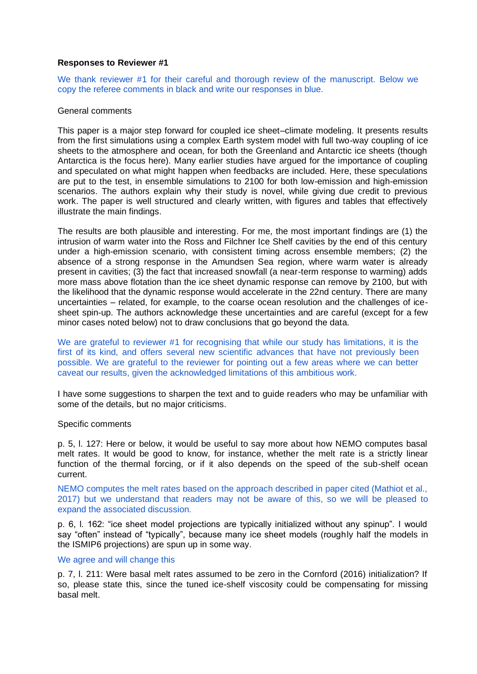## **Responses to Reviewer #1**

We thank reviewer #1 for their careful and thorough review of the manuscript. Below we copy the referee comments in black and write our responses in blue.

# General comments

This paper is a major step forward for coupled ice sheet–climate modeling. It presents results from the first simulations using a complex Earth system model with full two-way coupling of ice sheets to the atmosphere and ocean, for both the Greenland and Antarctic ice sheets (though Antarctica is the focus here). Many earlier studies have argued for the importance of coupling and speculated on what might happen when feedbacks are included. Here, these speculations are put to the test, in ensemble simulations to 2100 for both low-emission and high-emission scenarios. The authors explain why their study is novel, while giving due credit to previous work. The paper is well structured and clearly written, with figures and tables that effectively illustrate the main findings.

The results are both plausible and interesting. For me, the most important findings are (1) the intrusion of warm water into the Ross and Filchner Ice Shelf cavities by the end of this century under a high-emission scenario, with consistent timing across ensemble members; (2) the absence of a strong response in the Amundsen Sea region, where warm water is already present in cavities; (3) the fact that increased snowfall (a near-term response to warming) adds more mass above flotation than the ice sheet dynamic response can remove by 2100, but with the likelihood that the dynamic response would accelerate in the 22nd century. There are many uncertainties – related, for example, to the coarse ocean resolution and the challenges of icesheet spin-up. The authors acknowledge these uncertainties and are careful (except for a few minor cases noted below) not to draw conclusions that go beyond the data.

We are grateful to reviewer #1 for recognising that while our study has limitations, it is the first of its kind, and offers several new scientific advances that have not previously been possible. We are grateful to the reviewer for pointing out a few areas where we can better caveat our results, given the acknowledged limitations of this ambitious work.

I have some suggestions to sharpen the text and to guide readers who may be unfamiliar with some of the details, but no major criticisms.

#### Specific comments

p. 5, l. 127: Here or below, it would be useful to say more about how NEMO computes basal melt rates. It would be good to know, for instance, whether the melt rate is a strictly linear function of the thermal forcing, or if it also depends on the speed of the sub-shelf ocean current.

NEMO computes the melt rates based on the approach described in paper cited (Mathiot et al., 2017) but we understand that readers may not be aware of this, so we will be pleased to expand the associated discussion.

p. 6, l. 162: "ice sheet model projections are typically initialized without any spinup". I would say "often" instead of "typically", because many ice sheet models (roughly half the models in the ISMIP6 projections) are spun up in some way.

#### We agree and will change this

p. 7, l. 211: Were basal melt rates assumed to be zero in the Cornford (2016) initialization? If so, please state this, since the tuned ice-shelf viscosity could be compensating for missing basal melt.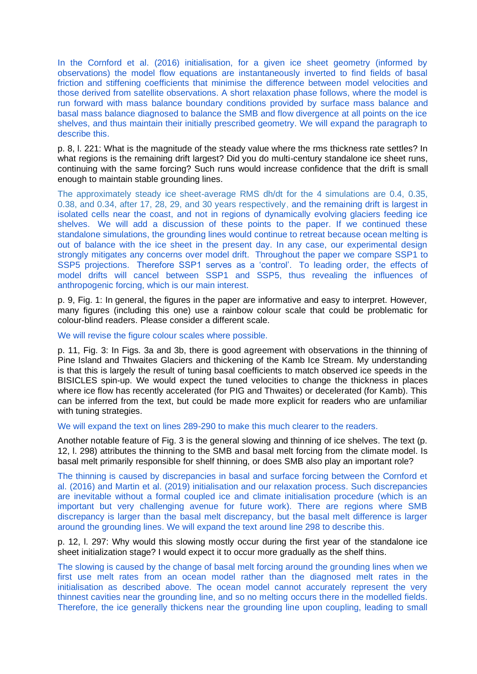In the Cornford et al. (2016) initialisation, for a given ice sheet geometry (informed by observations) the model flow equations are instantaneously inverted to find fields of basal friction and stiffening coefficients that minimise the difference between model velocities and those derived from satellite observations. A short relaxation phase follows, where the model is run forward with mass balance boundary conditions provided by surface mass balance and basal mass balance diagnosed to balance the SMB and flow divergence at all points on the ice shelves, and thus maintain their initially prescribed geometry. We will expand the paragraph to describe this.

p. 8, l. 221: What is the magnitude of the steady value where the rms thickness rate settles? In what regions is the remaining drift largest? Did you do multi-century standalone ice sheet runs, continuing with the same forcing? Such runs would increase confidence that the drift is small enough to maintain stable grounding lines.

The approximately steady ice sheet-average RMS dh/dt for the 4 simulations are 0.4, 0.35, 0.38, and 0.34, after 17, 28, 29, and 30 years respectively, and the remaining drift is largest in isolated cells near the coast, and not in regions of dynamically evolving glaciers feeding ice shelves. We will add a discussion of these points to the paper. If we continued these standalone simulations, the grounding lines would continue to retreat because ocean melting is out of balance with the ice sheet in the present day. In any case, our experimental design strongly mitigates any concerns over model drift. Throughout the paper we compare SSP1 to SSP5 projections. Therefore SSP1 serves as a 'control'. To leading order, the effects of model drifts will cancel between SSP1 and SSP5, thus revealing the influences of anthropogenic forcing, which is our main interest.

p. 9, Fig. 1: In general, the figures in the paper are informative and easy to interpret. However, many figures (including this one) use a rainbow colour scale that could be problematic for colour-blind readers. Please consider a different scale.

#### We will revise the figure colour scales where possible.

p. 11, Fig. 3: In Figs. 3a and 3b, there is good agreement with observations in the thinning of Pine Island and Thwaites Glaciers and thickening of the Kamb Ice Stream. My understanding is that this is largely the result of tuning basal coefficients to match observed ice speeds in the BISICLES spin-up. We would expect the tuned velocities to change the thickness in places where ice flow has recently accelerated (for PIG and Thwaites) or decelerated (for Kamb). This can be inferred from the text, but could be made more explicit for readers who are unfamiliar with tuning strategies.

## We will expand the text on lines 289-290 to make this much clearer to the readers.

Another notable feature of Fig. 3 is the general slowing and thinning of ice shelves. The text (p. 12, l. 298) attributes the thinning to the SMB and basal melt forcing from the climate model. Is basal melt primarily responsible for shelf thinning, or does SMB also play an important role?

The thinning is caused by discrepancies in basal and surface forcing between the Cornford et al. (2016) and Martin et al. (2019) initialisation and our relaxation process. Such discrepancies are inevitable without a formal coupled ice and climate initialisation procedure (which is an important but very challenging avenue for future work). There are regions where SMB discrepancy is larger than the basal melt discrepancy, but the basal melt difference is larger around the grounding lines. We will expand the text around line 298 to describe this.

p. 12, l. 297: Why would this slowing mostly occur during the first year of the standalone ice sheet initialization stage? I would expect it to occur more gradually as the shelf thins.

The slowing is caused by the change of basal melt forcing around the grounding lines when we first use melt rates from an ocean model rather than the diagnosed melt rates in the initialisation as described above. The ocean model cannot accurately represent the very thinnest cavities near the grounding line, and so no melting occurs there in the modelled fields. Therefore, the ice generally thickens near the grounding line upon coupling, leading to small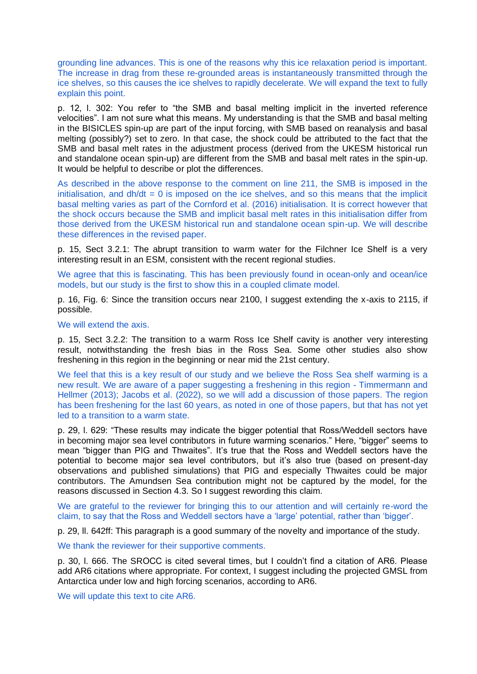grounding line advances. This is one of the reasons why this ice relaxation period is important. The increase in drag from these re-grounded areas is instantaneously transmitted through the ice shelves, so this causes the ice shelves to rapidly decelerate. We will expand the text to fully explain this point.

p. 12, l. 302: You refer to "the SMB and basal melting implicit in the inverted reference velocities". I am not sure what this means. My understanding is that the SMB and basal melting in the BISICLES spin-up are part of the input forcing, with SMB based on reanalysis and basal melting (possibly?) set to zero. In that case, the shock could be attributed to the fact that the SMB and basal melt rates in the adjustment process (derived from the UKESM historical run and standalone ocean spin-up) are different from the SMB and basal melt rates in the spin-up. It would be helpful to describe or plot the differences.

As described in the above response to the comment on line 211, the SMB is imposed in the initialisation, and  $dh/dt = 0$  is imposed on the ice shelves, and so this means that the implicit basal melting varies as part of the Cornford et al. (2016) initialisation. It is correct however that the shock occurs because the SMB and implicit basal melt rates in this initialisation differ from those derived from the UKESM historical run and standalone ocean spin-up. We will describe these differences in the revised paper.

p. 15, Sect 3.2.1: The abrupt transition to warm water for the Filchner Ice Shelf is a very interesting result in an ESM, consistent with the recent regional studies.

We agree that this is fascinating. This has been previously found in ocean-only and ocean/ice models, but our study is the first to show this in a coupled climate model.

p. 16, Fig. 6: Since the transition occurs near 2100, I suggest extending the x-axis to 2115, if possible.

### We will extend the axis.

p. 15, Sect 3.2.2: The transition to a warm Ross Ice Shelf cavity is another very interesting result, notwithstanding the fresh bias in the Ross Sea. Some other studies also show freshening in this region in the beginning or near mid the 21st century.

We feel that this is a key result of our study and we believe the Ross Sea shelf warming is a new result. We are aware of a paper suggesting a freshening in this region - Timmermann and Hellmer (2013); Jacobs et al. (2022), so we will add a discussion of those papers. The region has been freshening for the last 60 years, as noted in one of those papers, but that has not yet led to a transition to a warm state.

p. 29, l. 629: "These results may indicate the bigger potential that Ross/Weddell sectors have in becoming major sea level contributors in future warming scenarios." Here, "bigger" seems to mean "bigger than PIG and Thwaites". It's true that the Ross and Weddell sectors have the potential to become major sea level contributors, but it's also true (based on present-day observations and published simulations) that PIG and especially Thwaites could be major contributors. The Amundsen Sea contribution might not be captured by the model, for the reasons discussed in Section 4.3. So I suggest rewording this claim.

We are grateful to the reviewer for bringing this to our attention and will certainly re-word the claim, to say that the Ross and Weddell sectors have a 'large' potential, rather than 'bigger'.

p. 29, ll. 642ff: This paragraph is a good summary of the novelty and importance of the study.

We thank the reviewer for their supportive comments.

p. 30, l. 666. The SROCC is cited several times, but I couldn't find a citation of AR6. Please add AR6 citations where appropriate. For context, I suggest including the projected GMSL from Antarctica under low and high forcing scenarios, according to AR6.

We will update this text to cite AR6.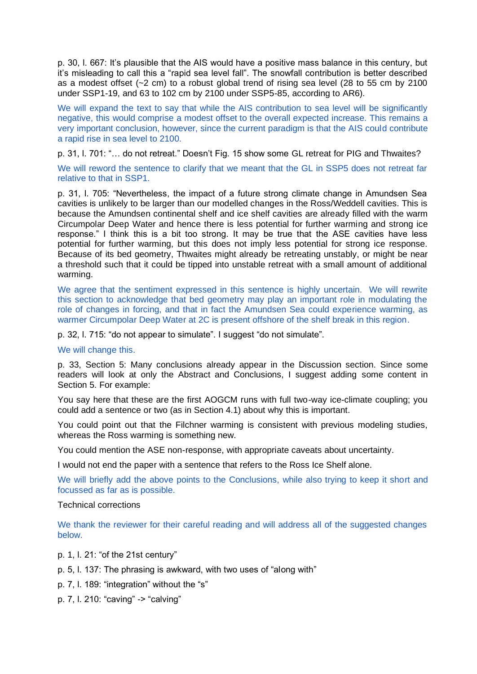p. 30, l. 667: It's plausible that the AIS would have a positive mass balance in this century, but it's misleading to call this a "rapid sea level fall". The snowfall contribution is better described as a modest offset (~2 cm) to a robust global trend of rising sea level (28 to 55 cm by 2100 under SSP1-19, and 63 to 102 cm by 2100 under SSP5-85, according to AR6).

We will expand the text to say that while the AIS contribution to sea level will be significantly negative, this would comprise a modest offset to the overall expected increase. This remains a very important conclusion, however, since the current paradigm is that the AIS could contribute a rapid rise in sea level to 2100.

p. 31, l. 701: "… do not retreat." Doesn't Fig. 15 show some GL retreat for PIG and Thwaites?

We will reword the sentence to clarify that we meant that the GL in SSP5 does not retreat far relative to that in SSP1.

p. 31, l. 705: "Nevertheless, the impact of a future strong climate change in Amundsen Sea cavities is unlikely to be larger than our modelled changes in the Ross/Weddell cavities. This is because the Amundsen continental shelf and ice shelf cavities are already filled with the warm Circumpolar Deep Water and hence there is less potential for further warming and strong ice response." I think this is a bit too strong. It may be true that the ASE cavities have less potential for further warming, but this does not imply less potential for strong ice response. Because of its bed geometry, Thwaites might already be retreating unstably, or might be near a threshold such that it could be tipped into unstable retreat with a small amount of additional warming.

We agree that the sentiment expressed in this sentence is highly uncertain. We will rewrite this section to acknowledge that bed geometry may play an important role in modulating the role of changes in forcing, and that in fact the Amundsen Sea could experience warming, as warmer Circumpolar Deep Water at 2C is present offshore of the shelf break in this region.

p. 32, l. 715: "do not appear to simulate". I suggest "do not simulate".

#### We will change this.

p. 33, Section 5: Many conclusions already appear in the Discussion section. Since some readers will look at only the Abstract and Conclusions, I suggest adding some content in Section 5. For example:

You say here that these are the first AOGCM runs with full two-way ice-climate coupling; you could add a sentence or two (as in Section 4.1) about why this is important.

You could point out that the Filchner warming is consistent with previous modeling studies, whereas the Ross warming is something new.

You could mention the ASE non-response, with appropriate caveats about uncertainty.

I would not end the paper with a sentence that refers to the Ross Ice Shelf alone.

We will briefly add the above points to the Conclusions, while also trying to keep it short and focussed as far as is possible.

# Technical corrections

We thank the reviewer for their careful reading and will address all of the suggested changes below.

- p. 1, l. 21: "of the 21st century"
- p. 5, l. 137: The phrasing is awkward, with two uses of "along with"
- p. 7, l. 189: "integration" without the "s"
- p. 7, l. 210: "caving" -> "calving"